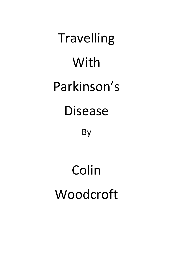# Travelling With Parkinson's Disease By

Colin Woodcroft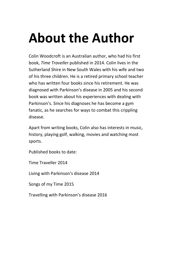# **About the Author**

Colin Woodcroft is an Australian author, who had his first book, *Time Traveller* published in 2014. Colin lives in the Sutherland Shire in New South Wales with his wife and two of his three children. He is a retired primary school teacher who has written four books since his retirement. He was diagnosed with Parkinson's disease in 2005 and his second book was written about his experiences with dealing with Parkinson's. Since his diagnoses he has become a gym fanatic, as he searches for ways to combat this crippling disease.

Apart from writing books, Colin also has interests in music, history, playing golf, walking, movies and watching most sports.

Published books to date:

Time Traveller 2014

Living with Parkinson's disease 2014

Songs of my Time 2015

Travelling with Parkinson's disease 2016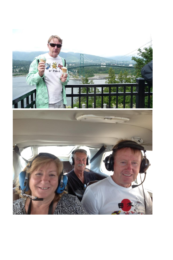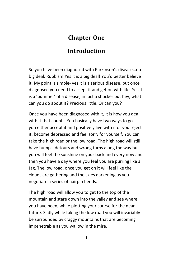#### **Chapter One**

#### **Introduction**

So you have been diagnosed with Parkinson's disease…no big deal. Rubbish! Yes it is a big deal! You'd better believe it. My point is simple- yes it is a serious disease, but once diagnosed you need to accept it and get on with life. Yes it is a 'bummer' of a disease, in fact a shocker but hey, what can you do about it? Precious little. Or can you?

Once you have been diagnosed with it, it is how you deal with it that counts. You basically have two ways to go  $$ you either accept it and positively live with it or you reject it, become depressed and feel sorry for yourself. You can take the high road or the low road. The high road will still have bumps, detours and wrong turns along the way but you will feel the sunshine on your back and every now and then you have a day where you feel you are purring like a Jag. The low road, once you get on it will feel like the clouds are gathering and the skies darkening as you negotiate a series of hairpin bends.

The high road will allow you to get to the top of the mountain and stare down into the valley and see where you have been, while plotting your course for the near future. Sadly while taking the low road you will invariably be surrounded by craggy mountains that are becoming impenetrable as you wallow in the mire.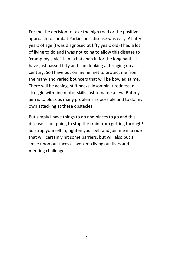For me the decision to take the high road or the positive approach to combat Parkinson's disease was easy. At fifty years of age (I was diagnosed at fifty years old) I had a lot of living to do and I was not going to allow this disease to 'cramp my style'. I am a batsman in for the long haul – I have just passed fifty and I am looking at bringing up a century. So I have put on my helmet to protect me from the many and varied bouncers that will be bowled at me. There will be aching, stiff backs, insomnia, tiredness, a struggle with fine motor skills just to name a few. But my aim is to block as many problems as possible and to do my own attacking at these obstacles.

Put simply I have things to do and places to go and this disease is not going to stop the train from getting through! So strap yourself in, tighten your belt and join me in a ride that will certainly hit some barriers, but will also put a smile upon our faces as we keep living our lives and meeting challenges.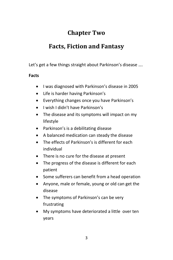## **Chapter Two**

### **Facts, Fiction and Fantasy**

Let's get a few things straight about Parkinson's disease ....

#### **Facts**

- I was diagnosed with Parkinson's disease in 2005
- Life is harder having Parkinson's
- Everything changes once you have Parkinson's
- I wish I didn't have Parkinson's
- The disease and its symptoms will impact on my lifestyle
- Parkinson's is a debilitating disease
- A balanced medication can steady the disease
- The effects of Parkinson's is different for each individual
- There is no cure for the disease at present
- The progress of the disease is different for each patient
- Some sufferers can benefit from a head operation
- Anyone, male or female, young or old can get the disease
- The symptoms of Parkinson's can be very frustrating
- My symptoms have deteriorated a little over ten years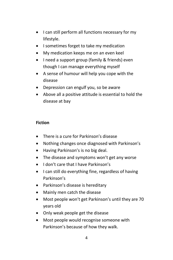- I can still perform all functions necessary for my lifestyle.
- I sometimes forget to take my medication
- My medication keeps me on an even keel
- I need a support group (family & friends) even though I can manage everything myself
- A sense of humour will help you cope with the disease
- Depression can engulf you, so be aware
- Above all a positive attitude is essential to hold the disease at bay

#### **Fiction**

- There is a cure for Parkinson's disease
- Nothing changes once diagnosed with Parkinson's
- Having Parkinson's is no big deal.
- The disease and symptoms won't get any worse
- I don't care that I have Parkinson's
- I can still do everything fine, regardless of having Parkinson's
- Parkinson's disease is hereditary
- Mainly men catch the disease
- Most people won't get Parkinson's until they are 70 years old
- Only weak people get the disease
- Most people would recognise someone with Parkinson's because of how they walk.